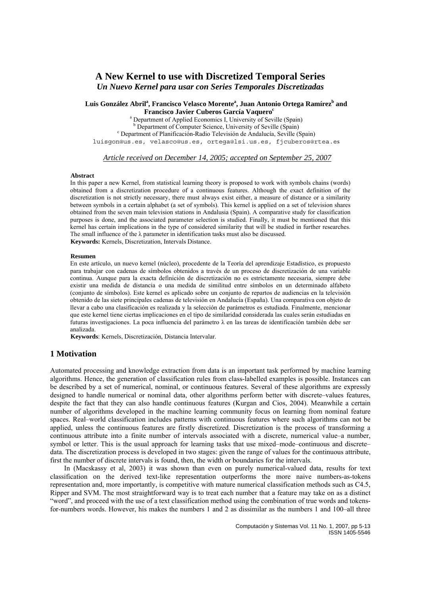*Un Nuevo Kernel para usar con Series Temporales Discretizadas* 

## Luis González Abril<sup>a</sup>, Francisco Velasco Morente<sup>a</sup>, Juan Antonio Ortega Ramírez<sup>b</sup> and **Francisco Javier Cuberos García Vaquero<sup>c</sup>**

<sup>a</sup> Department of Applied Economics I, University of Seville (Spain) <sup>b</sup> Department of Computer Science, University of Seville (Spain) Department of Planificación-Radio Televisión de Andalucía, Seville (Spain) luisgon@us.es, velasco@us.es, ortega@lsi.us.es, fjcuberos@rtea.es

*Article received on December 14, 2005; accepted on September 25, 2007*

#### **Abstract**

In this paper a new Kernel, from statistical learning theory is proposed to work with symbols chains (words) obtained from a discretization procedure of a continuous features. Although the exact definition of the discretization is not strictly necessary, there must always exist either, a measure of distance or a similarity between symbols in a certain alphabet (a set of symbols). This kernel is applied on a set of television shares obtained from the seven main television stations in Andalusia (Spain). A comparative study for classification purposes is done, and the associated parameter selection is studied. Finally, it must be mentioned that this kernel has certain implications in the type of considered similarity that will be studied in further researches. The small influence of the λ parameter in identification tasks must also be discussed.  **Keywords:** Kernels, Discretization, Intervals Distance.

#### **Resumen**

En este artículo, un nuevo kernel (núcleo), procedente de la Teoría del aprendizaje Estadístico, es propuesto para trabajar con cadenas de símbolos obtenidos a través de un proceso de discretización de una variable continua. Aunque para la exacta definición de discretización no es estrictamente necesaria, siempre debe existir una medida de distancia o una medida de similitud entre símbolos en un determinado alfabeto (conjunto de símbolos). Este kernel es aplicado sobre un conjunto de repartos de audiencias en la televisión obtenido de las siete principales cadenas de televisión en Andalucía (España). Una comparativa con objeto de llevar a cabo una clasificación es realizada y la selección de parámetros es estudiada. Finalmente, mencionar que este kernel tiene ciertas implicaciones en el tipo de similaridad considerada las cuales serán estudiadas en futuras investigaciones. La poca influencia del parámetro λ en las tareas de identificación también debe ser analizada.

 **Keywords**: Kernels, Discretización, Distancia Intervalar.

# **1 Motivation**

Automated processing and knowledge extraction from data is an important task performed by machine learning algorithms. Hence, the generation of classification rules from class-labelled examples is possible. Instances can be described by a set of numerical, nominal, or continuous features. Several of these algorithms are expressly designed to handle numerical or nominal data, other algorithms perform better with discrete–values features, despite the fact that they can also handle continuous features (Kurgan and Cios, 2004). Meanwhile a certain number of algorithms developed in the machine learning community focus on learning from nominal feature spaces. Real–world classification includes patterns with continuous features where such algorithms can not be applied, unless the continuous features are firstly discretized. Discretization is the process of transforming a continuous attribute into a finite number of intervals associated with a discrete, numerical value–a number, symbol or letter. This is the usual approach for learning tasks that use mixed–mode–continuous and discrete– data. The discretization process is developed in two stages: given the range of values for the continuous attribute, first the number of discrete intervals is found, then, the width or boundaries for the intervals.

In (Macskassy et al, 2003) it was shown than even on purely numerical-valued data, results for text classification on the derived text-like representation outperforms the more naive numbers-as-tokens representation and, more importantly, is competitive with mature numerical classification methods such as C4.5, Ripper and SVM. The most straightforward way is to treat each number that a feature may take on as a distinct "word", and proceed with the use of a text classification method using the combination of true words and tokensfor-numbers words. However, his makes the numbers 1 and 2 as dissimilar as the numbers 1 and 100–all three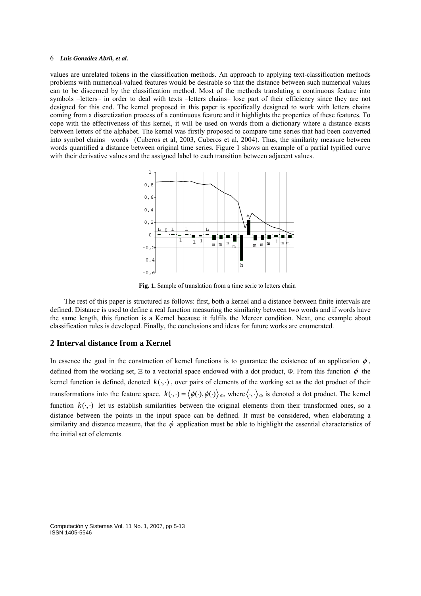values are unrelated tokens in the classification methods. An approach to applying text-classification methods problems with numerical-valued features would be desirable so that the distance between such numerical values can to be discerned by the classification method. Most of the methods translating a continuous feature into symbols –letters– in order to deal with texts –letters chains– lose part of their efficiency since they are not designed for this end. The kernel proposed in this paper is specifically designed to work with letters chains coming from a discretization process of a continuous feature and it highlights the properties of these features. To cope with the effectiveness of this kernel, it will be used on words from a dictionary where a distance exists between letters of the alphabet. The kernel was firstly proposed to compare time series that had been converted into symbol chains –words– (Cuberos et al, 2003, Cuberos et al, 2004). Thus, the similarity measure between words quantified a distance between original time series. Figure 1 shows an example of a partial typified curve with their derivative values and the assigned label to each transition between adjacent values.



**Fig. 1.** Sample of translation from a time serie to letters chain

The rest of this paper is structured as follows: first, both a kernel and a distance between finite intervals are defined. Distance is used to define a real function measuring the similarity between two words and if words have the same length, this function is a Kernel because it fulfils the Mercer condition. Next, one example about classification rules is developed. Finally, the conclusions and ideas for future works are enumerated.

# **2 Interval distance from a Kernel**

In essence the goal in the construction of kernel functions is to guarantee the existence of an application  $\phi$ , defined from the working set,  $\Xi$  to a vectorial space endowed with a dot product, Φ. From this function  $\phi$  the kernel function is defined, denoted  $k(\cdot, \cdot)$ , over pairs of elements of the working set as the dot product of their transformations into the feature space,  $k(\cdot, \cdot) = \langle \phi(\cdot), \phi(\cdot) \rangle_{\Phi}$ , where  $\langle \cdot, \cdot \rangle_{\Phi}$  is denoted a dot product. The kernel function  $k(\cdot, \cdot)$  let us establish similarities between the original elements from their transformed ones, so a distance between the points in the input space can be defined. It must be considered, when elaborating a similarity and distance measure, that the  $\phi$  application must be able to highlight the essential characteristics of the initial set of elements.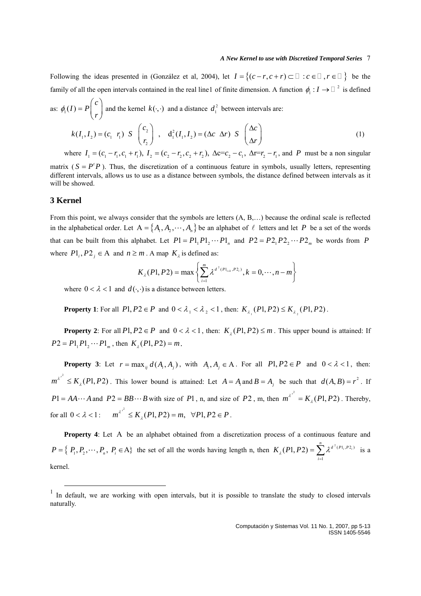Following the ideas presented in (González et al, 2004), let  $I = \{(c-r, c+r) \subset \Box : c \in \Box, r \in \Box\}$  be the family of all the open intervals contained in the real line[1](#page-2-0) of finite dimension. A function  $\phi_1: I \to \square^2$  is defined

as: 
$$
\phi_1(I) = P\begin{pmatrix} c \\ r \end{pmatrix}
$$
 and the kernel  $k(\cdot, \cdot)$  and a distance  $d_1^2$  between intervals are:  
\n
$$
k(I_1, I_2) = (c_1 \ r_1) \ S \begin{pmatrix} c_2 \\ r_2 \end{pmatrix} , \ d_1^2(I_1, I_2) = (\Delta c \ \Delta r) \ S \begin{pmatrix} \Delta c \\ \Delta r \end{pmatrix}
$$
\nwhere  $I_1 = (c_1 - r_1, c_1 + r_1), I_2 = (c_2 - r_2, c_2 + r_2), \Delta c = c_2 - c_1, \Delta r = r_2 - r_1$ , and  $P$  must be a non singular

matrix ( $S = P^t P$ ). Thus, the discretization of a continuous feature in symbols, usually letters, representing different intervals, allows us to use as a distance between symbols, the distance defined between intervals as it will be showed.

### **3 Kernel**

<u>.</u>

From this point, we always consider that the symbols are letters (A, B,…) because the ordinal scale is reflected in the alphabetical order. Let  $A = \{A_1, A_2, \dots, A_n\}$  be an alphabet of  $\ell$  letters and let P be a set of the words that can be built from this alphabet. Let  $P1 = P1_1 P1_2 \cdots P1_n$  and  $P2 = P2_1 P2_2 \cdots P2_m$  be words from P where  $Pl_i$ ,  $Pl_j \in A$  and  $n \ge m$ . A map  $K_{\lambda}$  is defined as:

$$
K_{\lambda}(P1, P2) = \max \left\{ \sum_{i=1}^{m} {\lambda^{d^{2}(P1_{i+k}, P2_{i})}}, k = 0, \cdots, n-m \right\}
$$

where  $0 < \lambda < 1$  and  $d(\cdot, \cdot)$  is a distance between letters.

**Property 1**: For all  $P1, P2 \in P$  and  $0 < \lambda_1 < \lambda_2 < 1$ , then:  $K_{\lambda_1}(P1, P2) \le K_{\lambda_2}(P1, P2)$ .

**Property 2**: For all  $P1, P2 \in P$  and  $0 < \lambda < 1$ , then:  $K_i(P1, P2) \le m$ . This upper bound is attained: If  $P2 = P1_1 P1_2 \cdots P1_m$ , then  $K_1(P1, P2) = m$ .

**Property 3**: Let  $r = \max_{i} d(A_i, A_i)$ , with  $A_i, A_i \in A$ . For all  $P1, P2 \in P$  and  $0 < \lambda < 1$ , then:  $m^{\lambda^{r^2}} \le K_\lambda(P_1, P_2)$ . This lower bound is attained: Let  $A = A_i$  and  $B = A_j$  be such that  $d(A, B) = r^2$ . If  $P1 = AA \cdots A$  and  $P2 = BB \cdots B$  with size of  $P1$ , n, and size of  $P2$ , m, then  $m^{\lambda^2} = K_{\lambda}(P1, P2)$ . Thereby, for all  $0 < \lambda < 1$ :  $m^{\lambda^{r^2}} \le K_{\lambda}(P1, P2) = m, \forall P1, P2 \in P$ .

Property 4: Let A be an alphabet obtained from a discretization process of a continuous feature and  $P = \left\{ P_1, P_2, \dots, P_n, P_i \in A \right\}$  the set of all the words having length n, then  $K_{\lambda}(P1, P2) = \sum_{i=1}^{n} \lambda^{d^2(P1_i, P2_i)}$  is a kernel. 1 *i* =

<span id="page-2-0"></span><sup>&</sup>lt;sup>1</sup> In default, we are working with open intervals, but it is possible to translate the study to closed intervals naturally.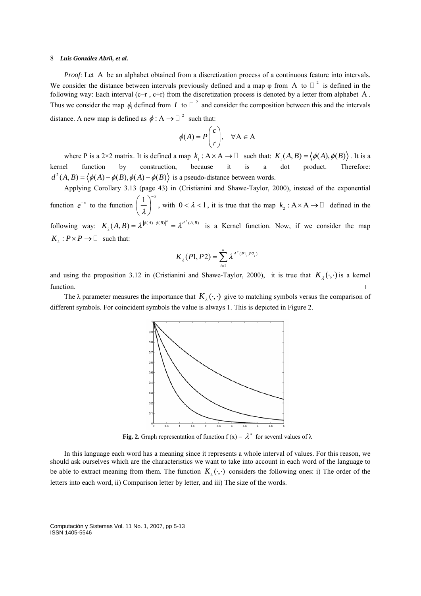*Proof*: Let A be an alphabet obtained from a discretization process of a continuous feature into intervals. We consider the distance between intervals previously defined and a map  $\varphi$  from A to  $\Box$ <sup>2</sup> is defined in the following way: Each interval (c-r, c+r) from the discretization process is denoted by a letter from alphabet A. Thus we consider the map  $\phi$  defined from *I* to  $\Box$ <sup>2</sup> and consider the composition between this and the intervals distance. A new map is defined as  $\phi : A \rightarrow \square^2$  such that:

$$
\phi(A) = P \begin{pmatrix} c \\ r \end{pmatrix}, \quad \forall A \in A
$$

where P is a 2×2 matrix. It is defined a map  $k_1 : A \times A \to \square$  such that:  $K_1(A, B) = \langle \phi(A), \phi(B) \rangle$ . It is a kernel function by construction, because it is a dot product. Therefore:  $d^2(A, B) = \langle \phi(A) - \phi(B), \phi(A) - \phi(B) \rangle$  is a pseudo-distance between words.

Applying Corollary 3.13 (page 43) in (Cristianini and Shawe-Taylor, 2000), instead of the exponential function  $e^{-x}$  to the function  $\left(\frac{1}{x}\right)^{-x}$ λ  $\left(\frac{1}{\lambda}\right)^{-x}$ , with  $0 < \lambda < 1$ , it is true that the map  $k_2 : A \times A \to \square$  defined in the following way:  $K_2(A, B) = \lambda^{\|\phi(A) - \phi(B)\|^2} = \lambda^{d^2(A, B)}$  is a Kernel function. Now, if we consider the map  $K_i$ :  $P \times P \rightarrow \square$  such that:

$$
K_{\lambda}(P1, P2) = \sum_{i=1}^{n} \lambda^{d^{2}(P1_{i}, P2_{i})}
$$

and using the proposition 3.12 in (Cristianini and Shawe-Taylor, 2000), it is true that  $K_{\lambda}(\cdot, \cdot)$  is a kernel function.  $+$ 

The  $\lambda$  parameter measures the importance that  $K_{\lambda}(\cdot, \cdot)$  give to matching symbols versus the comparison of different symbols. For coincident symbols the value is always 1. This is depicted in Figure 2.



**Fig. 2.** Graph representation of function  $f(x) = \lambda^x$  for several values of  $\lambda$ 

In this language each word has a meaning since it represents a whole interval of values. For this reason, we should ask ourselves which are the characteristics we want to take into account in each word of the language to be able to extract meaning from them. The function  $K_{i}(\cdot,\cdot)$  considers the following ones: i) The order of the letters into each word, ii) Comparison letter by letter, and iii) The size of the words.

Computación y Sistemas Vol. 11 No. 1, 2007, pp 5-13 ISSN 1405-5546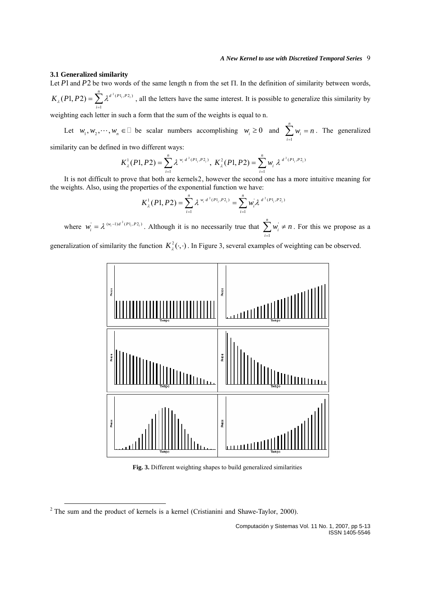#### **3.1 Generalized similarity**

Let  $P1$  and  $P2$  be two words of the same length n from the set  $\Pi$ . In the definition of similarity between words,  $\int_{0}^{2} (PL_i, PL_i)$ , all the letters have the same interest. It is possible to generalize this similarity by weighting each letter in such a form that the sum of the weights is equal to n. 1  $(P1, P2) = \sum_{i=1}^{n} \lambda^{d^2(P1_i, P2_i)}$ *i*  $K_{\lambda}(P1, P2) = \sum \lambda^2$  $=\sum_{i=1}$ 

Let  $w_1, w_2, \dots, w_n \in \Box$  be scalar numbers accomplishing  $w_i \ge 0$  and  $\sum_{i=1}^n w_i = n$ . The generalized *n*  $\sum_{i=1}^{\infty}$ <sup>rv</sup>i  $w_i = n$  $\sum_{i=1} w_i =$ 

similarity can be defined in two different ways:

$$
K_{\lambda}^{1}(P1, P2) = \sum_{i=1}^{n} \lambda^{w_i d^{2}(P1, P2_{i})}, K_{\lambda}^{2}(P1, P2) = \sum_{i=1}^{n} w_i \lambda^{d^{2}(P1, P2_{i})}
$$

It is not difficult to prove that both are kernels[2](#page-4-0), however the second one has a more intuitive meaning for the weights. Also, using the properties of the exponential function we have:

$$
K_{\lambda}^{1}(P1, P2) = \sum_{i=1}^{n} \lambda^{w_i d^{2}(P1_i, P2_i)} = \sum_{i=1}^{n} w_i \lambda^{d^{2}(P1_i, P2_i)}
$$

where  $w_i = \lambda^{(w_i-1)d^2(P_1, P_2)}$ . Although it is no necessarily true that  $\sum_{i=1}^{n} w_i$ *n*  $\sum_{i=1}^{\infty}$ <sup>*i*</sup><sup>*i*</sup>  $w_i \neq n$  $\sum_{i=1} w_i \neq n$ . For this we propose as a

generalization of similarity the function  $K^2_\lambda(\cdot,\cdot)$ . In Figure 3, several examples of weighting can be observed.



**Fig. 3.** Different weighting shapes to build generalized similarities

<span id="page-4-0"></span> $2$  The sum and the product of kernels is a kernel (Cristianini and Shawe-Taylor, 2000).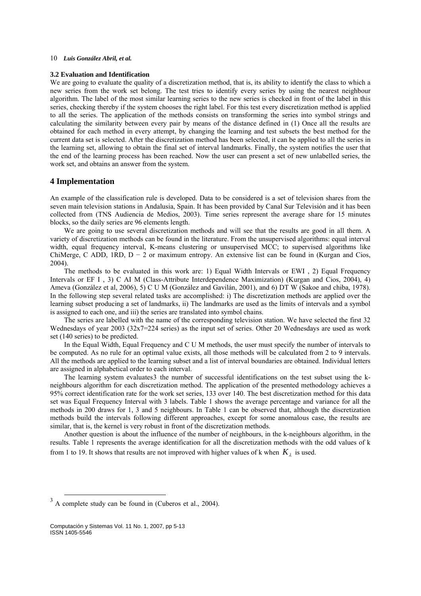#### **3.2 Evaluation and Identification**

We are going to evaluate the quality of a discretization method, that is, its ability to identify the class to which a new series from the work set belong. The test tries to identify every series by using the nearest neighbour algorithm. The label of the most similar learning series to the new series is checked in front of the label in this series, checking thereby if the system chooses the right label. For this test every discretization method is applied to all the series. The application of the methods consists on transforming the series into symbol strings and calculating the similarity between every pair by means of the distance defined in (1) Once all the results are obtained for each method in every attempt, by changing the learning and test subsets the best method for the current data set is selected. After the discretization method has been selected, it can be applied to all the series in the learning set, allowing to obtain the final set of interval landmarks. Finally, the system notifies the user that the end of the learning process has been reached. Now the user can present a set of new unlabelled series, the work set, and obtains an answer from the system.

# **4 Implementation**

An example of the classification rule is developed. Data to be considered is a set of television shares from the seven main television stations in Andalusia, Spain. It has been provided by Canal Sur Televisión and it has been collected from (TNS Audiencia de Medios, 2003). Time series represent the average share for 15 minutes blocks, so the daily series are 96 elements length.

We are going to use several discretization methods and will see that the results are good in all them. A variety of discretization methods can be found in the literature. From the unsupervised algorithms: equal interval width, equal frequency interval, K-means clustering or unsupervised MCC; to supervised algorithms like ChiMerge, C ADD, 1RD,  $D - 2$  or maximum entropy. An extensive list can be found in (Kurgan and Cios, 2004).

The methods to be evaluated in this work are: 1) Equal Width Intervals or EWI , 2) Equal Frequency Intervals or EF I , 3) C AI M (Class-Attribute Interdependence Maximization) (Kurgan and Cios, 2004), 4) Ameva (González et al, 2006), 5) C U M (González and Gavilán, 2001), and 6) DT W (Sakoe and chiba, 1978). In the following step several related tasks are accomplished: i) The discretization methods are applied over the learning subset producing a set of landmarks, ii) The landmarks are used as the limits of intervals and a symbol is assigned to each one, and iii) the series are translated into symbol chains.

The series are labelled with the name of the corresponding television station. We have selected the first 32 Wednesdays of year 2003 (32x7=224 series) as the input set of series. Other 20 Wednesdays are used as work set (140 series) to be predicted.

In the Equal Width, Equal Frequency and C U M methods, the user must specify the number of intervals to be computed. As no rule for an optimal value exists, all those methods will be calculated from 2 to 9 intervals. All the methods are applied to the learning subset and a list of interval boundaries are obtained. Individual letters are assigned in alphabetical order to each interval.

The learning system evaluates[3](#page-5-0) the number of successful identifications on the test subset using the kneighbours algorithm for each discretization method. The application of the presented methodology achieves a 95% correct identification rate for the work set series, 133 over 140. The best discretization method for this data set was Equal Frequency Interval with 3 labels. Table 1 shows the average percentage and variance for all the methods in 200 draws for 1, 3 and 5 neighbours. In Table 1 can be observed that, although the discretization methods build the intervals following different approaches, except for some anomalous case, the results are similar, that is, the kernel is very robust in front of the discretization methods.

Another question is about the influence of the number of neighbours, in the k-neighbours algorithm, in the results. Table 1 represents the average identification for all the discretization methods with the odd values of k from 1 to 19. It shows that results are not improved with higher values of k when  $K_{\lambda}$  is used.

<span id="page-5-0"></span> $3 \text{ A complete study can be found in (Cuberos et al., 2004).}$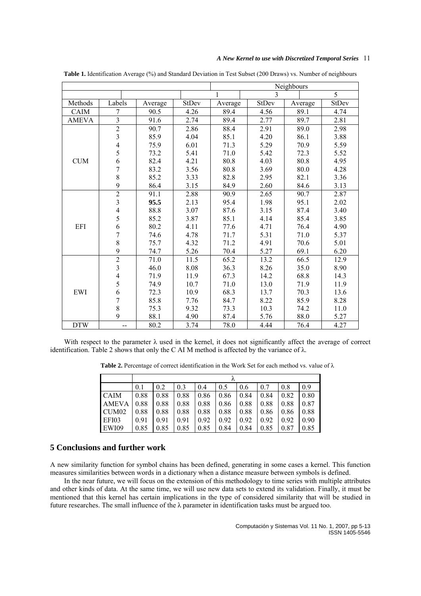|              |                          |         |       | Neighbours   |       |         |       |  |  |
|--------------|--------------------------|---------|-------|--------------|-------|---------|-------|--|--|
|              |                          |         |       | 3            |       |         | 5     |  |  |
| Methods      | Labels                   | Average | StDev | Average      | StDev | Average | StDev |  |  |
| CAIM         | $\overline{7}$           | 90.5    | 4.26  | 89.4         | 4.56  | 89.1    | 4.74  |  |  |
| <b>AMEVA</b> | $\overline{\mathbf{3}}$  | 91.6    | 2.74  | 89.4         | 2.77  | 89.7    | 2.81  |  |  |
|              | $\overline{2}$           | 90.7    | 2.86  | 88.4         | 2.91  | 89.0    | 2.98  |  |  |
| <b>CUM</b>   | $\frac{3}{4}$            | 85.9    | 4.04  | 85.1         | 4.20  | 86.1    | 3.88  |  |  |
|              |                          | 75.9    | 6.01  | 71.3         | 5.29  | 70.9    | 5.59  |  |  |
|              | 5                        | 73.2    | 5.41  | 71.0         | 5.42  | 72.3    | 5.52  |  |  |
|              | 6                        | 82.4    | 4.21  | 80.8         | 4.03  | 80.8    | 4.95  |  |  |
|              | $\overline{7}$           | 83.2    | 3.56  | 80.8         | 3.69  | 80.0    | 4.28  |  |  |
|              | 8                        | 85.2    | 3.33  | 2.95<br>82.8 |       | 82.1    | 3.36  |  |  |
|              | $\overline{9}$           | 86.4    | 3.15  | 84.9         | 2.60  | 84.6    | 3.13  |  |  |
| EFI          | $\overline{2}$           | 91.1    | 2.88  | 90.9         | 2.65  | 90.7    | 2.87  |  |  |
|              | $\overline{\mathbf{3}}$  | 95.5    | 2.13  | 95.4         | 1.98  | 95.1    | 2.02  |  |  |
|              | $\overline{\mathcal{L}}$ | 88.8    | 3.07  | 87.6         | 3.15  | 87.4    | 3.40  |  |  |
|              | 5                        | 85.2    | 3.87  | 85.1         | 4.14  | 85.4    | 3.85  |  |  |
|              | 6                        | 80.2    | 4.11  | 77.6         | 4.71  | 76.4    | 4.90  |  |  |
|              | $\overline{7}$           | 74.6    | 4.78  | 71.7         | 5.31  | 71.0    | 5.37  |  |  |
|              | 8                        | 75.7    | 4.32  | 71.2         | 4.91  | 70.6    | 5.01  |  |  |
|              | $\mathbf{9}$             | 74.7    | 5.26  | 70.4         | 5.27  | 69.1    | 6.20  |  |  |
| EWI          | $\frac{2}{3}$            | 71.0    | 11.5  | 65.2         | 13.2  | 66.5    | 12.9  |  |  |
|              |                          | 46.0    | 8.08  | 36.3         | 8.26  | 35.0    | 8.90  |  |  |
|              | $\frac{4}{5}$            | 71.9    | 11.9  | 67.3         | 14.2  | 68.8    | 14.3  |  |  |
|              |                          | 74.9    | 10.7  | 71.0         | 13.0  | 71.9    | 11.9  |  |  |
|              | 6                        | 72.3    | 10.9  | 68.3         | 13.7  | 70.3    | 13.6  |  |  |
|              | $\overline{7}$           | 85.8    | 7.76  | 84.7         | 8.22  | 85.9    | 8.28  |  |  |
|              | $\,8$                    | 75.3    | 9.32  | 73.3         | 10.3  | 74.2    | 11.0  |  |  |
|              | 9                        | 88.1    | 4.90  | 87.4         | 5.76  | 88.0    | 5.27  |  |  |
| <b>DTW</b>   | --                       | 80.2    | 3.74  | 78.0         | 4.44  | 76.4    | 4.27  |  |  |

**Table 1.** Identification Average (%) and Standard Deviation in Test Subset (200 Draws) vs. Number of neighbours

With respect to the parameter  $\lambda$  used in the kernel, it does not significantly affect the average of correct identification. Table 2 shows that only the C AI M method is affected by the variance of  $\lambda$ .

**Table 2.** Percentage of correct identification in the Work Set for each method vs. value of λ

|                   | 0.1  | 0.2  | 0.3  | 0.4  | 0.5  | 0.6  | 0.7  | 0.8  | 09   |  |  |
|-------------------|------|------|------|------|------|------|------|------|------|--|--|
| <b>CAIM</b>       | 0.88 | 0.88 | 0.88 | 0.86 | 0.86 | 0.84 | 0.84 | 0.82 | 0.80 |  |  |
| <b>AMEVA</b>      | 0.88 | 0.88 | 0.88 | 0.88 | 0.86 | 0.88 | 0.88 | 0.88 | 0.87 |  |  |
| CUM <sub>02</sub> | 0.88 | 0.88 | 0.88 | 0.88 | 0.88 | 0.88 | 0.86 | 0.86 | 0.88 |  |  |
| EFI03             | 0.91 | 0.91 | 0.91 | 0.92 | 0.92 | 0.92 | 0.92 | 0.92 | 0.90 |  |  |
| EWI09             | 0.85 | 0.85 | 0.85 | 0.85 | 0.84 | 0.84 | 0.85 | 0.87 | 0.85 |  |  |

# **5 Conclusions and further work**

A new similarity function for symbol chains has been defined, generating in some cases a kernel. This function measures similarities between words in a dictionary when a distance measure between symbols is defined.

In the near future, we will focus on the extension of this methodology to time series with multiple attributes and other kinds of data. At the same time, we will use new data sets to extend its validation. Finally, it must be mentioned that this kernel has certain implications in the type of considered similarity that will be studied in future researches. The small influence of the  $\lambda$  parameter in identification tasks must be argued too.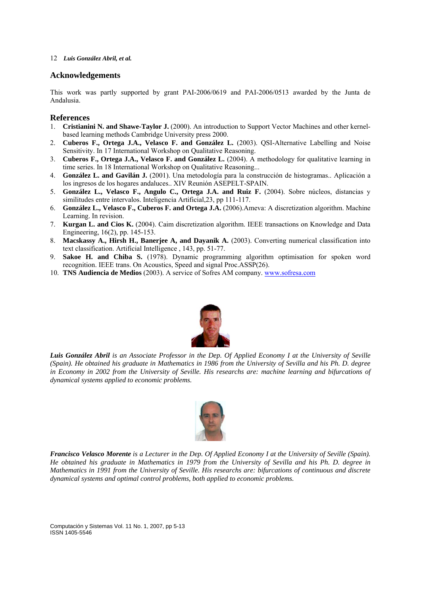# **Acknowledgements**

This work was partly supported by grant PAI-2006/0619 and PAI-2006/0513 awarded by the Junta de Andalusia.

# **References**

- 1. **Cristianini N. and Shawe-Taylor J.** (2000). An introduction to Support Vector Machines and other kernelbased learning methods Cambridge University press 2000.
- 2. **Cuberos F., Ortega J.A., Velasco F. and González L.** (2003). QSI-Alternative Labelling and Noise Sensitivity. In 17 International Workshop on Qualitative Reasoning.
- 3. **Cuberos F., Ortega J.A., Velasco F. and González L.** (2004). A methodology for qualitative learning in time series. In 18 International Workshop on Qualitative Reasoning...
- 4. **González L. and Gavilán J.** (2001). Una metodología para la construcción de histogramas.. Aplicación a los ingresos de los hogares andaluces.. XIV Reunión ASEPELT-SPAIN.
- 5. **González L., Velasco F., Angulo C., Ortega J.A. and Ruiz F.** (2004). Sobre núcleos, distancias y similitudes entre intervalos. Inteligencia Artificial,23, pp 111-117.
- 6. **González L., Velasco F., Cuberos F. and Ortega J.A.** (2006).Ameva: A discretization algorithm. Machine Learning. In revision.
- 7. **Kurgan L. and Cios K.** (2004). Caim discretization algorithm. IEEE transactions on Knowledge and Data Engineering, 16(2), pp. 145-153.
- 8. **Macskassy A., Hirsh H., Banerjee A, and Dayanik A.** (2003). Converting numerical classification into text classification. Artificial Intelligence , 143, pp. 51-77.
- 9. **Sakoe H. and Chiba S.** (1978). Dynamic programming algorithm optimisation for spoken word recognition. IEEE trans. On Acoustics, Speed and signal Proc.ASSP(26).
- 10. **TNS Audiencia de Medios** (2003). A service of Sofres AM company. [www.sofresa.com](http://www.sofresa.com/)



*Luis González Abril is an Associate Professor in the Dep. Of Applied Economy I at the University of Seville (Spain). He obtained his graduate in Mathematics in 1986 from the University of Sevilla and his Ph. D. degree in Economy in 2002 from the University of Seville. His researchs are: machine learning and bifurcations of dynamical systems applied to economic problems.*



*Francisco Velasco Morente is a Lecturer in the Dep. Of Applied Economy I at the University of Seville (Spain). He obtained his graduate in Mathematics in 1979 from the University of Sevilla and his Ph. D. degree in Mathematics in 1991 from the University of Seville. His researchs are: bifurcations of continuous and discrete dynamical systems and optimal control problems, both applied to economic problems.* 

Computación y Sistemas Vol. 11 No. 1, 2007, pp 5-13 ISSN 1405-5546